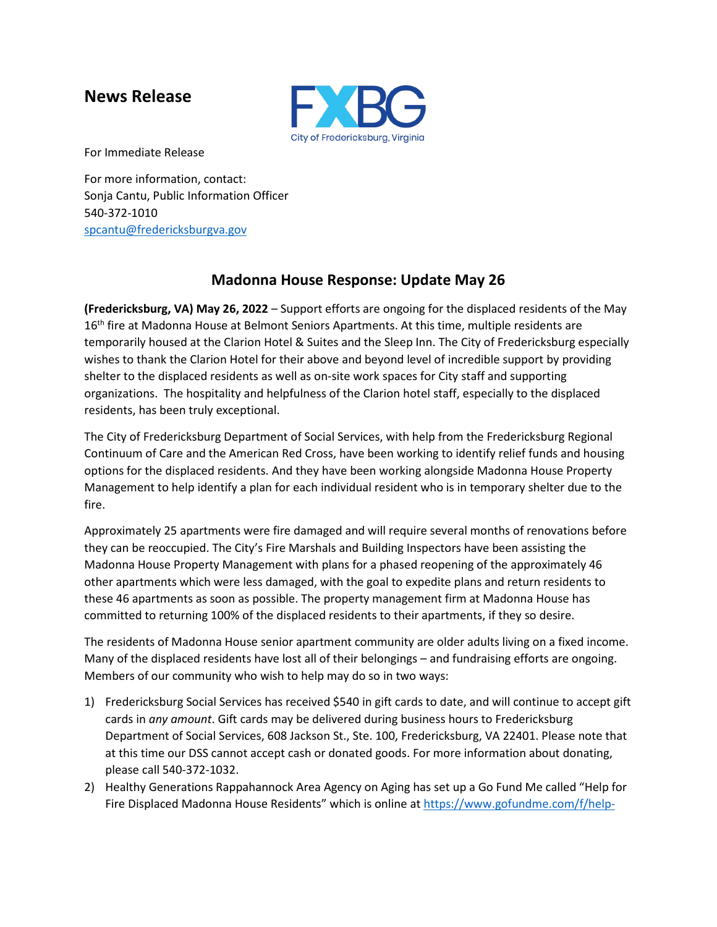## **News Release**



For Immediate Release

For more information, contact: Sonja Cantu, Public Information Officer 540-372-1010 [spcantu@fredericksburgva.gov](mailto:spcantu@fredericksburgva.gov)

## **Madonna House Response: Update May 26**

**(Fredericksburg, VA) May 26, 2022** – Support efforts are ongoing for the displaced residents of the May 16<sup>th</sup> fire at Madonna House at Belmont Seniors Apartments. At this time, multiple residents are temporarily housed at the Clarion Hotel & Suites and the Sleep Inn. The City of Fredericksburg especially wishes to thank the Clarion Hotel for their above and beyond level of incredible support by providing shelter to the displaced residents as well as on-site work spaces for City staff and supporting organizations. The hospitality and helpfulness of the Clarion hotel staff, especially to the displaced residents, has been truly exceptional.

The City of Fredericksburg Department of Social Services, with help from the Fredericksburg Regional Continuum of Care and the American Red Cross, have been working to identify relief funds and housing options for the displaced residents. And they have been working alongside Madonna House Property Management to help identify a plan for each individual resident who is in temporary shelter due to the fire.

Approximately 25 apartments were fire damaged and will require several months of renovations before they can be reoccupied. The City's Fire Marshals and Building Inspectors have been assisting the Madonna House Property Management with plans for a phased reopening of the approximately 46 other apartments which were less damaged, with the goal to expedite plans and return residents to these 46 apartments as soon as possible. The property management firm at Madonna House has committed to returning 100% of the displaced residents to their apartments, if they so desire.

The residents of Madonna House senior apartment community are older adults living on a fixed income. Many of the displaced residents have lost all of their belongings – and fundraising efforts are ongoing. Members of our community who wish to help may do so in two ways:

- 1) Fredericksburg Social Services has received \$540 in gift cards to date, and will continue to accept gift cards in *any amount*. Gift cards may be delivered during business hours to Fredericksburg Department of Social Services, 608 Jackson St., Ste. 100, Fredericksburg, VA 22401. Please note that at this time our DSS cannot accept cash or donated goods. For more information about donating, please call 540-372-1032.
- 2) Healthy Generations Rappahannock Area Agency on Aging has set up a Go Fund Me called "Help for Fire Displaced Madonna House Residents" which is online at [https://www.gofundme.com/f/help-](https://www.gofundme.com/f/help-for-fire-displaced-madonna-house-residents)